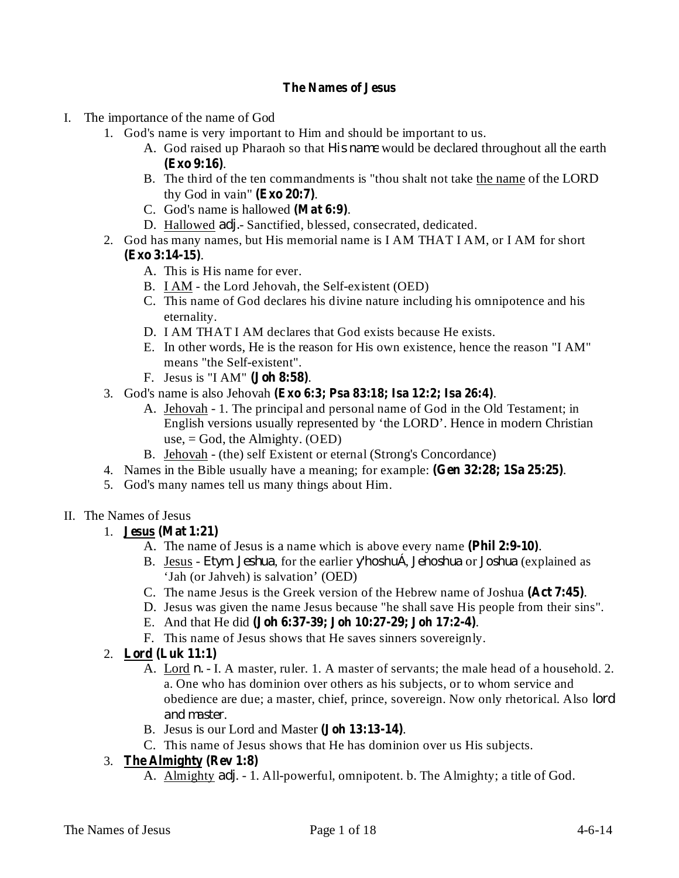### **The Names of Jesus**

- I. The importance of the name of God
	- 1. God's name is very important to Him and should be important to us.
		- A. God raised up Pharaoh so that *His name* would be declared throughout all the earth . **(Exo 9:16)**
		- B. The third of the ten commandments is "thou shalt not take the name of the LORD thy God in vain"  $(Exo 20:7)$ .
		- C. God's name is hallowed (Mat 6:9).
		- D. Hallowed *adj.* Sanctified, blessed, consecrated, dedicated.
	- 2. God has many names, but His memorial name is I AM THAT I AM, or I AM for short . **(Exo 3:14-15)**
		- A. This is His name for ever.
		- B. I AM the Lord Jehovah, the Self-existent (OED)
		- C. This name of God declares his divine nature including his omnipotence and his eternality.
		- D. I AM THAT I AM declares that God exists because He exists.
		- E. In other words, He is the reason for His own existence, hence the reason "I AM" means "the Self-existent".
		- F. Jesus is "I AM" (**Joh 8:58**).
	- 3. God's name is also Jehovah . **(Exo 6:3; Psa 83:18; Isa 12:2; Isa 26:4)**
		- A. Jehovah 1. The principal and personal name of God in the Old Testament; in English versions usually represented by 'the LORD'. Hence in modern Christian use, = God, the Almighty. (OED)
		- B. Jehovah (the) self Existent or eternal (Strong's Concordance)
	- 4. Names in the Bible usually have a meaning; for example: (Gen 32:28; 1Sa 25:25).
	- 5. God's many names tell us many things about Him.

## II. The Names of Jesus

- 1. **Jesus (Mat 1:21)**
	- A. The name of Jesus is a name which is above every name (Phil 2:9-10).
		- B. Jesus *Etym. Jeshua*, for the earlier y'hoshuÁ, *Jehoshua* or *Joshua* (explained as 'Jah (or Jahveh) is salvation' (OED)
	- C. The name Jesus is the Greek version of the Hebrew name of Joshua (Act 7:45).
	- D. Jesus was given the name Jesus because "he shall save His people from their sins".
	- E. And that He did . **(Joh 6:37-39; Joh 10:27-29; Joh 17:2-4)**
	- F. This name of Jesus shows that He saves sinners sovereignly.
- 2. **Lord (Luk 11:1)**
	- A. Lord *n.* I. A master, ruler. 1. A master of servants; the male head of a household. 2. a. One who has dominion over others as his subjects, or to whom service and obedience are due; a master, chief, prince, sovereign. Now only rhetorical. Also *lord* . *and master*
	- B. Jesus is our Lord and Master (Joh 13:13-14).
	- C. This name of Jesus shows that He has dominion over us His subjects.
- 3. **The Almighty (Rev 1:8)**
	- A. Almighty *adj.* 1. All-powerful, omnipotent. b. The Almighty; a title of God.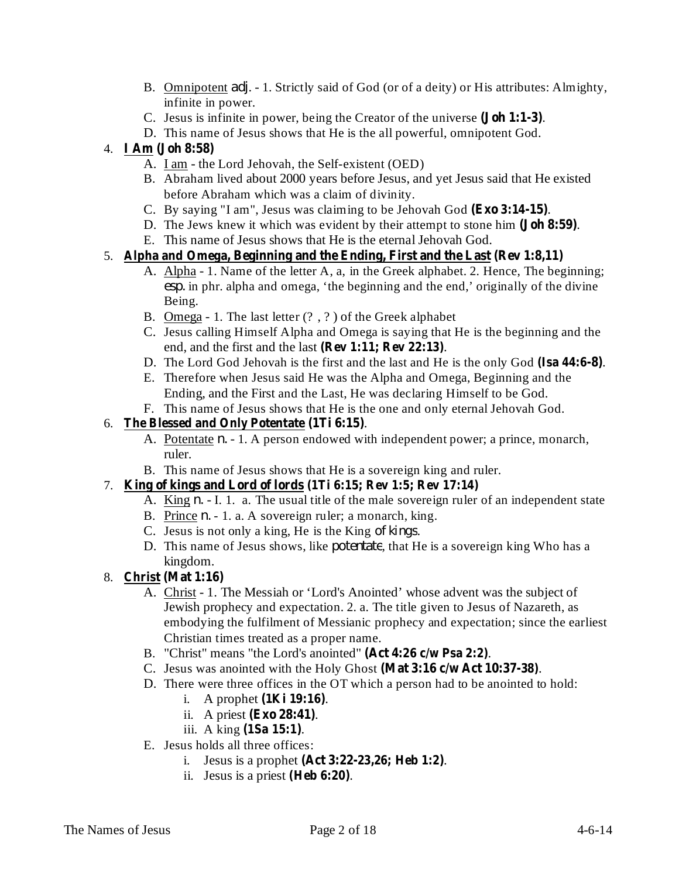- B. Omnipotent *adj.* 1. Strictly said of God (or of a deity) or His attributes: Almighty, infinite in power.
- C. Jesus is infinite in power, being the Creator of the universe (**Joh 1:1-3**).
- D. This name of Jesus shows that He is the all powerful, omnipotent God.

# 4. **I Am (Joh 8:58)**

- A. I am the Lord Jehovah, the Self-existent (OED)
- B. Abraham lived about 2000 years before Jesus, and yet Jesus said that He existed before Abraham which was a claim of divinity.
- C. By saying "I am", Jesus was claiming to be Jehovah God (Exo 3:14-15).
- D. The Jews knew it which was evident by their attempt to stone him (**Joh 8:59**).
- E. This name of Jesus shows that He is the eternal Jehovah God.

## 5. **Alpha and Omega, Beginning and the Ending, First and the Last (Rev 1:8,11)**

- A. Alpha 1. Name of the letter A, a, in the Greek alphabet. 2. Hence, The beginning; esp. in phr. alpha and omega, 'the beginning and the end,' originally of the divine Being.
- B. Omega 1. The last letter (? , ? ) of the Greek alphabet
- C. Jesus calling Himself Alpha and Omega is saying that He is the beginning and the end, and the first and the last (Rev 1:11; Rev 22:13).
- D. The Lord God Jehovah is the first and the last and He is the only God (Isa 44:6-8).
- E. Therefore when Jesus said He was the Alpha and Omega, Beginning and the Ending, and the First and the Last, He was declaring Himself to be God.
- F. This name of Jesus shows that He is the one and only eternal Jehovah God.

## 6. . **The Blessed and Only Potentate (1Ti 6:15)**

- A. Potentate *n*. 1. A person endowed with independent power; a prince, monarch, ruler.
- B. This name of Jesus shows that He is a sovereign king and ruler.

## 7. **King of kings and Lord of lords (1Ti 6:15; Rev 1:5; Rev 17:14)**

- A. King *n.* I. 1. a. The usual title of the male sovereign ruler of an independent state
- B. Prince *n.* 1. a. A sovereign ruler; a monarch, king.
- C. Jesus is not only a king, He is the King of kings.
- D. This name of Jesus shows, like *potentate*, that He is a sovereign king Who has a kingdom.

### 8. **Christ (Mat 1:16)**

- A. Christ 1. The Messiah or 'Lord's Anointed' whose advent was the subject of Jewish prophecy and expectation. 2. a. The title given to Jesus of Nazareth, as embodying the fulfilment of Messianic prophecy and expectation; since the earliest Christian times treated as a proper name.
- B. "Christ" means "the Lord's anointed" (Act 4:26 c/w Psa 2:2).
- C. Jesus was anointed with the Holy Ghost (Mat 3:16 c/w Act 10:37-38).
- D. There were three offices in the OT which a person had to be anointed to hold:
	- i. A prophet  $(1$ **Ki**  $19:16)$ .
	- ii. A priest (**Exo** 28:41).
	- iii. A king (**1Sa 15:1**).
- E. Jesus holds all three offices:
	- **i.** Jesus is a prophet (Act **3:22-23,26;** Heb 1:2).
	- ii. Jesus is a priest  $(Heb 6:20)$ .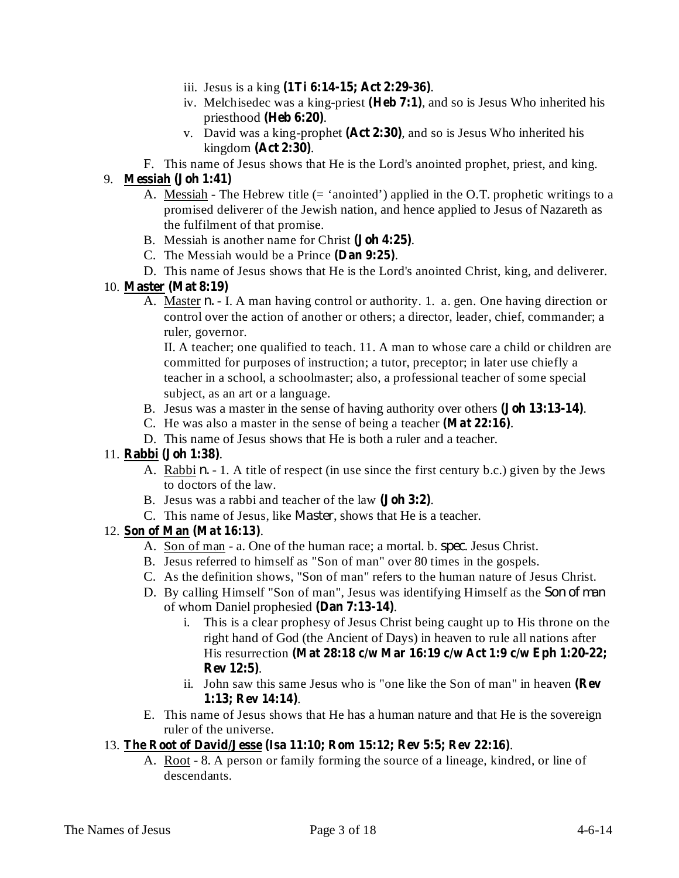- iii. Jesus is a king  $(1\text{Ti } 6:14-15; \text{ Act } 2:29-36)$ .
- iv. Melchisedec was a king-priest (Heb 7:1), and so is Jesus Who inherited his priesthood (Heb 6:20).
- v. David was a king-prophet  $(Act 2:30)$ , and so is Jesus Who inherited his **kingdom** (**Act** 2:30).
- F. This name of Jesus shows that He is the Lord's anointed prophet, priest, and king.

## 9. **Messiah (Joh 1:41)**

- A. Messiah The Hebrew title (= 'anointed') applied in the O.T. prophetic writings to a promised deliverer of the Jewish nation, and hence applied to Jesus of Nazareth as the fulfilment of that promise.
- B. Messiah is another name for Christ (Joh 4:25).
- C. The Messiah would be a Prince (Dan 9:25).
- D. This name of Jesus shows that He is the Lord's anointed Christ, king, and deliverer.

#### 10. **Master (Mat 8:19)**

A. Master *n*. - I. A man having control or authority. 1. a. gen. One having direction or control over the action of another or others; a director, leader, chief, commander; a ruler, governor.

II. A teacher; one qualified to teach. 11. A man to whose care a child or children are committed for purposes of instruction; a tutor, preceptor; in later use chiefly a teacher in a school, a schoolmaster; also, a professional teacher of some special subject, as an art or a language.

- B. Jesus was a master in the sense of having authority over others (**Joh 13:13-14**).
- C. He was also a master in the sense of being a teacher  $(Mat 22:16)$ .
- D. This name of Jesus shows that He is both a ruler and a teacher.

### 11. **Rabbi** (Joh 1:38).

- A. Rabbi *n.* 1. A title of respect (in use since the first century b.c.) given by the Jews to doctors of the law.
- B. Jesus was a rabbi and teacher of the law (**Joh** 3:2).
- C. This name of Jesus, like *Master*, shows that He is a teacher.

### 12. Son of Man (Mat 16:13).

- A. Son of man a. One of the human race; a mortal. b. *spec*. Jesus Christ.
- B. Jesus referred to himself as "Son of man" over 80 times in the gospels.
- C. As the definition shows, "Son of man" refers to the human nature of Jesus Christ.
- D. By calling Himself "Son of man", Jesus was identifying Himself as the *Son of man*of whom Daniel prophesied (Dan 7:13-14).
	- i. This is a clear prophesy of Jesus Christ being caught up to His throne on the right hand of God (the Ancient of Days) in heaven to rule all nations after His resurrection **(Mat 28:18 c/w Mar 16:19 c/w Act 1:9 c/w Eph 1:20-22;** . **Rev 12:5)**
	- ii. John saw this same Jesus who is "one like the Son of man" in heaven **(Rev** . **1:13; Rev 14:14)**
- E. This name of Jesus shows that He has a human nature and that He is the sovereign ruler of the universe.

### 13. . **The Root of David/Jesse (Isa 11:10; Rom 15:12; Rev 5:5; Rev 22:16)**

A. Root - 8. A person or family forming the source of a lineage, kindred, or line of descendants.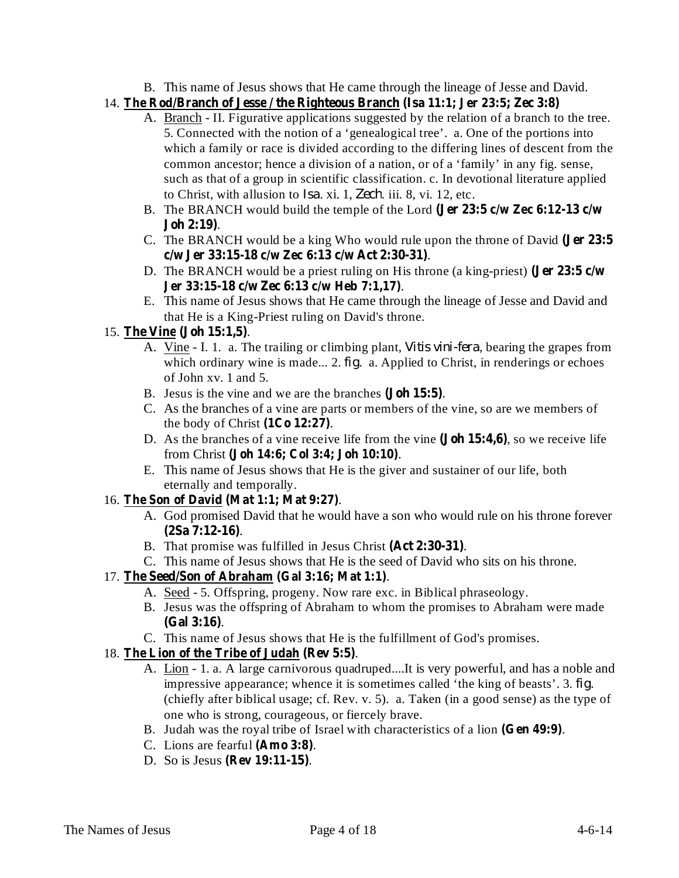- B. This name of Jesus shows that He came through the lineage of Jesse and David.
- 14. **The Rod/Branch of Jesse / the Righteous Branch (Isa 11:1; Jer 23:5; Zec 3:8)**
	- A. **Branch** II. Figurative applications suggested by the relation of a branch to the tree. 5. Connected with the notion of a 'genealogical tree'. a. One of the portions into which a family or race is divided according to the differing lines of descent from the common ancestor; hence a division of a nation, or of a 'family' in any fig. sense, such as that of a group in scientific classification. c. In devotional literature applied to Christ, with allusion to *Isa*. xi. 1, Zech. iii. 8, vi. 12, etc.
	- B. The BRANCH would build the temple of the Lord **(Jer 23:5 c/w Zec 6:12-13 c/w** . **Joh 2:19)**
	- C. The BRANCH would be a king Who would rule upon the throne of David **(Jer 23:5** . **c/w Jer 33:15-18 c/w Zec 6:13 c/w Act 2:30-31)**
	- D. The BRANCH would be a priest ruling on His throne (a king-priest) **(Jer 23:5 c/w** . **Jer 33:15-18 c/w Zec 6:13 c/w Heb 7:1,17)**
	- E. This name of Jesus shows that He came through the lineage of Jesse and David and that He is a King-Priest ruling on David's throne.

## 15. The Vine (Joh 15:1,5).

- A. Vine I. 1. a. The trailing or climbing plant, *Vitis vini-fera*, bearing the grapes from which ordinary wine is made... 2.  $fig.$  a. Applied to Christ, in renderings or echoes of John xv. 1 and 5.
- B. Jesus is the vine and we are the branches (**Joh 15:5**).
- C. As the branches of a vine are parts or members of the vine, so are we members of the body of Christ  $(1Co 12:27)$ .
- D. As the branches of a vine receive life from the vine (**Joh 15:4,6**), so we receive life from Christ (Joh 14:6; Col 3:4; Joh 10:10).
- E. This name of Jesus shows that He is the giver and sustainer of our life, both eternally and temporally.

## 16. The Son of David (Mat 1:1; Mat 9:27).

- A. God promised David that he would have a son who would rule on his throne forever . **(2Sa 7:12-16)**
- B. That promise was fulfilled in Jesus Christ (Act 2:30-31).
- C. This name of Jesus shows that He is the seed of David who sits on his throne.

### 17. The Seed/Son of Abraham (Gal 3:16; Mat 1:1).

- A. Seed 5. Offspring, progeny. Now rare exc. in Biblical phraseology.
- B. Jesus was the offspring of Abraham to whom the promises to Abraham were made . **(Gal 3:16)**
- C. This name of Jesus shows that He is the fulfillment of God's promises.

### 18. The Lion of the Tribe of Judah (Rev 5:5).

- A. Lion 1. a. A large carnivorous quadruped....It is very powerful, and has a noble and impressive appearance; whence it is sometimes called 'the king of beasts'.  $3. fig.$ (chiefly after biblical usage; cf. Rev. v. 5). a. Taken (in a good sense) as the type of one who is strong, courageous, or fiercely brave.
- B. Judah was the royal tribe of Israel with characteristics of a lion (Gen 49:9).
- C. Lions are fearful (Amo 3:8).
- D. So is Jesus . **(Rev 19:11-15)**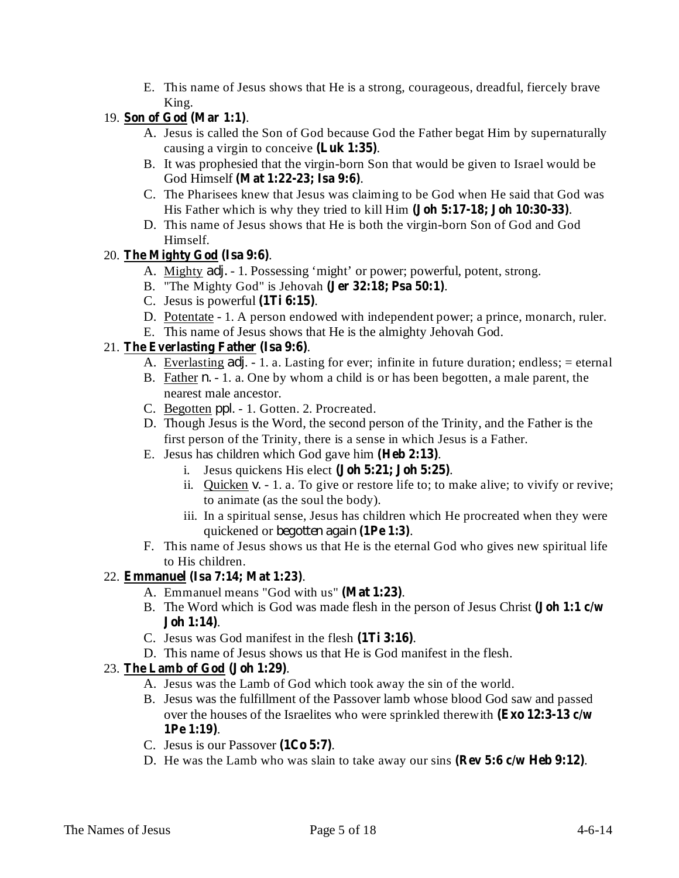E. This name of Jesus shows that He is a strong, courageous, dreadful, fiercely brave King.

## 19. Son of God (Mar 1:1).

- A. Jesus is called the Son of God because God the Father begat Him by supernaturally causing a virgin to conceive (Luk 1:35).
- B. It was prophesied that the virgin-born Son that would be given to Israel would be God Himself (Mat 1:22-23; Isa 9:6).
- C. The Pharisees knew that Jesus was claiming to be God when He said that God was His Father which is why they tried to kill Him (Joh 5:17-18; Joh 10:30-33).
- D. This name of Jesus shows that He is both the virgin-born Son of God and God Himself.

## 20. The Mighty God (Isa 9:6).

- A. Mighty *adj.* 1. Possessing 'might' or power; powerful, potent, strong.
- B. "The Mighty God" is Jehovah (Jer 32:18; Psa 50:1).
- C. Jesus is powerful  $(1Ti 6:15)$ .
- D. Potentate 1. A person endowed with independent power; a prince, monarch, ruler.
- E. This name of Jesus shows that He is the almighty Jehovah God.

## 21. The Everlasting Father (Isa 9:6).

- A. Everlasting *adj*. 1. a. Lasting for ever; infinite in future duration; endless; = eternal
- B. Father *n.* 1. a. One by whom a child is or has been begotten, a male parent, the nearest male ancestor.
- C. Begotten *ppl.* 1. Gotten. 2. Procreated.
- D. Though Jesus is the Word, the second person of the Trinity, and the Father is the first person of the Trinity, there is a sense in which Jesus is a Father.
- E. Jesus has children which God gave him (Heb 2:13).
	- i. Jesus quickens His elect  $(John 5:21; John 5:25)$ .
	- ii. Quicken  $v. 1$ . a. To give or restore life to; to make alive; to vivify or revive; to animate (as the soul the body).
	- iii. In a spiritual sense, Jesus has children which He procreated when they were quickened or . **(1Pe 1:3)** *begotten again*
- F. This name of Jesus shows us that He is the eternal God who gives new spiritual life to His children.

## 22. **Emmanuel** (Isa 7:14; Mat 1:23).

- A. Emmanuel means "God with us" (Mat 1:23).
- B. The Word which is God was made flesh in the person of Jesus Christ **(Joh 1:1 c/w** . **Joh 1:14)**
- C. Jesus was God manifest in the flesh (1Ti 3:16).
- D. This name of Jesus shows us that He is God manifest in the flesh.

## 23. The Lamb of God (Joh 1:29).

- A. Jesus was the Lamb of God which took away the sin of the world.
- B. Jesus was the fulfillment of the Passover lamb whose blood God saw and passed over the houses of the Israelites who were sprinkled therewith **(Exo 12:3-13 c/w** . **1Pe 1:19)**
- C. Jesus is our Passover  $(1Co 5:7)$ .
- D. He was the Lamb who was slain to take away our sins (Rev 5:6 c/w Heb 9:12).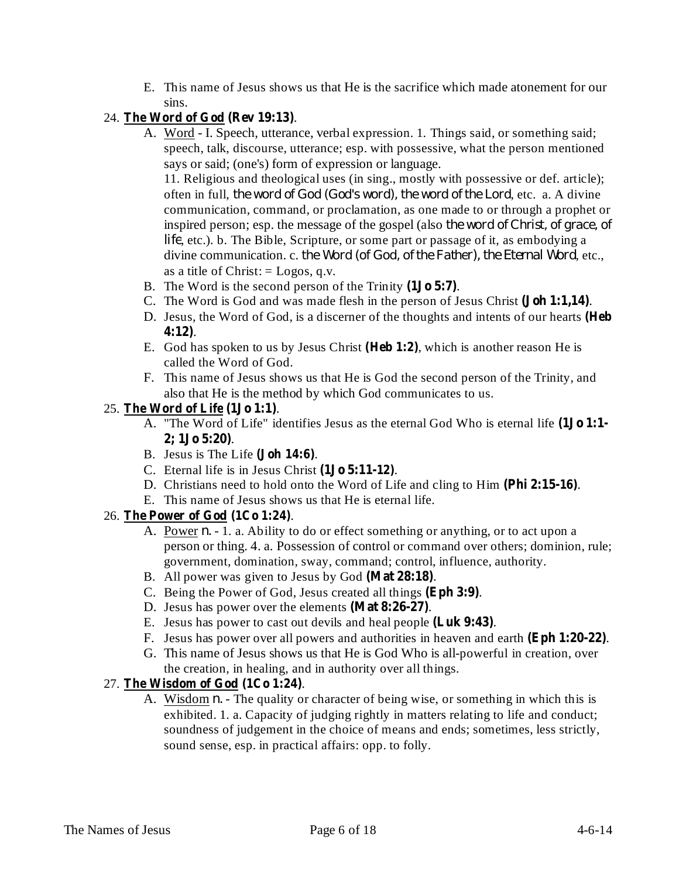E. This name of Jesus shows us that He is the sacrifice which made atonement for our sins.

## 24. The Word of God (Rev 19:13).

A. Word - I. Speech, utterance, verbal expression. 1. Things said, or something said; speech, talk, discourse, utterance; esp. with possessive, what the person mentioned says or said; (one's) form of expression or language.

11. Religious and theological uses (in sing., mostly with possessive or def. article); *f* often in full, the word of God (God's word), the word of the Lord, etc. a. A divine communication, command, or proclamation, as one made to or through a prophet or inspired person; esp. the message of the gospel (also *the word of Christ, of grace, of* life, etc.). b. The Bible, Scripture, or some part or passage of it, as embodying a divine communication. c. the Word (of God, of the Father), the Eternal Word, etc., as a title of Christ:  $=$  Logos, q.v.

- B. The Word is the second person of the Trinity (1Jo 5:7).
- C. The Word is God and was made flesh in the person of Jesus Christ (**Joh 1:1,14**).
- D. Jesus, the Word of God, is a discerner of the thoughts and intents of our hearts **(Heb** . **4:12)**
- E. God has spoken to us by Jesus Christ (Heb 1:2), which is another reason He is called the Word of God.
- F. This name of Jesus shows us that He is God the second person of the Trinity, and also that He is the method by which God communicates to us.

### 25. The Word of Life (1Jo 1:1).

- A. "The Word of Life" identifies Jesus as the eternal God Who is eternal life **(1Jo 1:1-** . **2; 1Jo 5:20)**
- B. Jesus is The Life (**Joh 14:6**).
- C. Eternal life is in Jesus Christ  $(1J<sub>0</sub> 5:11-12)$ .
- D. Christians need to hold onto the Word of Life and cling to Him (Phi 2:15-16).
- E. This name of Jesus shows us that He is eternal life.

### 26. The Power of God (1Co 1:24).

- A. Power *n*. 1. a. Ability to do or effect something or anything, or to act upon a person or thing. 4. a. Possession of control or command over others; dominion, rule; government, domination, sway, command; control, influence, authority.
- B. All power was given to Jesus by God (Mat 28:18).
- C. Being the Power of God, Jesus created all things (Eph 3:9).
- D. Jesus has power over the elements (Mat 8:26-27).
- E. Jesus has power to cast out devils and heal people (Luk 9:43).
- F. Jesus has power over all powers and authorities in heaven and earth (Eph 1:20-22).
- G. This name of Jesus shows us that He is God Who is all-powerful in creation, over the creation, in healing, and in authority over all things.

## 27. . **The Wisdom of God (1Co 1:24)**

A. Wisdom *n*. - The quality or character of being wise, or something in which this is exhibited. 1. a. Capacity of judging rightly in matters relating to life and conduct; soundness of judgement in the choice of means and ends; sometimes, less strictly, sound sense, esp. in practical affairs: opp. to folly.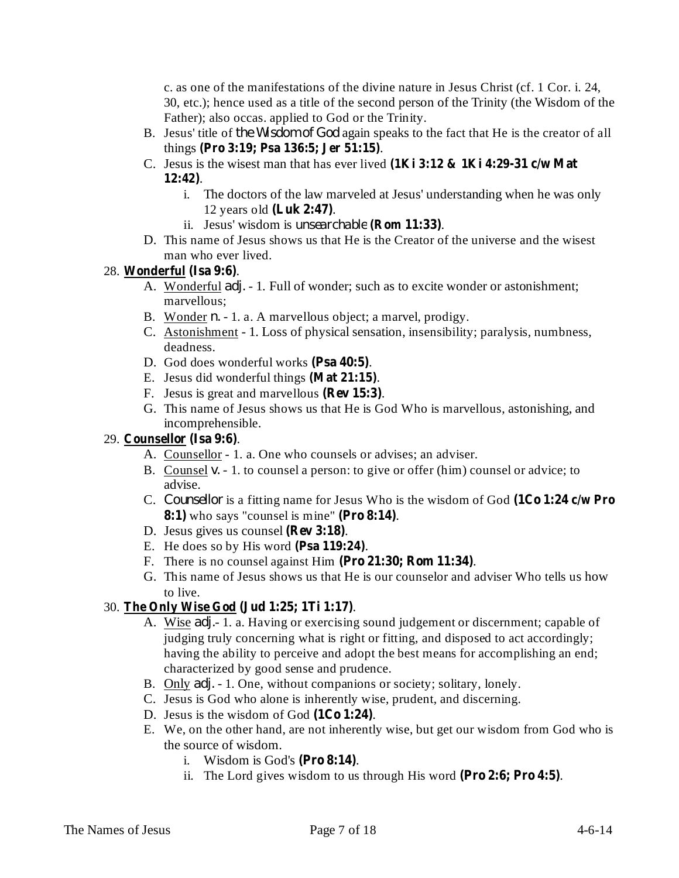c. as one of the manifestations of the divine nature in Jesus Christ (cf. 1 Cor. i. 24, 30, etc.); hence used as a title of the second person of the Trinity (the Wisdom of the Father); also occas. applied to God or the Trinity.

- B. Jesus' title of the Wisdom of God again speaks to the fact that He is the creator of all things . **(Pro 3:19; Psa 136:5; Jer 51:15)**
- C. Jesus is the wisest man that has ever lived **(1Ki 3:12 & 1Ki 4:29-31 c/w Mat** . **12:42)**
	- i. The doctors of the law marveled at Jesus' understanding when he was only 12 years old (Luk 2:47).
	- ii. Jesus' wisdom is *unsearchable* (**Rom 11:33**).
- D. This name of Jesus shows us that He is the Creator of the universe and the wisest man who ever lived.

## 28. Wonderful (Isa 9:6).

- A. Wonderful *adj.* 1. Full of wonder; such as to excite wonder or astonishment; marvellous;
- B. Wonder *n.* 1. a. A marvellous object; a marvel, prodigy.
- C. Astonishment 1. Loss of physical sensation, insensibility; paralysis, numbness, deadness.
- D. God does wonderful works (Psa 40:5).
- E. Jesus did wonderful things (Mat 21:15).
- F. Jesus is great and marvellous (Rev 15:3).
- G. This name of Jesus shows us that He is God Who is marvellous, astonishing, and incomprehensible.

## 29. **Counsellor** (Isa 9:6).

- A. Counsellor 1. a. One who counsels or advises; an adviser.
- B. Counsel v. 1. to counsel a person: to give or offer (him) counsel or advice; to advise.
- C. Counsellor is a fitting name for Jesus Who is the wisdom of God (1Co 1:24 **c/w Pro** 8:1) who says "counsel is mine" (Pro 8:14).
- D. Jesus gives us counsel (Rev 3:18).
- E. He does so by His word (Psa 119:24).
- F. There is no counsel against Him (Pro 21:30; Rom 11:34).
- G. This name of Jesus shows us that He is our counselor and adviser Who tells us how to live.

## 30. The Only Wise God (Jud 1:25; 1Ti 1:17).

- A. Wise *adj.* 1. a. Having or exercising sound judgement or discernment; capable of judging truly concerning what is right or fitting, and disposed to act accordingly; having the ability to perceive and adopt the best means for accomplishing an end; characterized by good sense and prudence.
- B. Only *adj.* 1. One, without companions or society; solitary, lonely.
- C. Jesus is God who alone is inherently wise, prudent, and discerning.
- D. Jesus is the wisdom of God  $(1Co 1:24)$ .
- E. We, on the other hand, are not inherently wise, but get our wisdom from God who is the source of wisdom.
	- i. Wisdom is God's (Pro 8:14).
	- ii. The Lord gives wisdom to us through His word (Pro 2:6; Pro 4:5).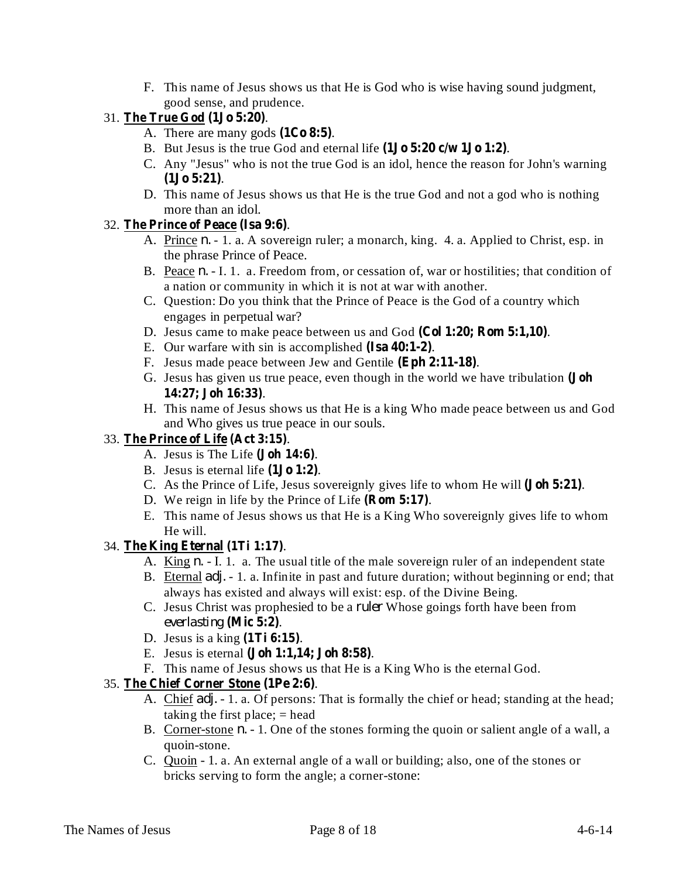F. This name of Jesus shows us that He is God who is wise having sound judgment, good sense, and prudence.

# 31. . **The True God (1Jo 5:20)**

- A. There are many gods  $(1Co 8:5)$ .
- B. But Jesus is the true God and eternal life  $(1J\sigma 5:20 \text{ c/w } 1J\sigma 1:2)$ .
- C. Any "Jesus" who is not the true God is an idol, hence the reason for John's warning . **(1Jo 5:21)**
- D. This name of Jesus shows us that He is the true God and not a god who is nothing more than an idol.

# 32. . **The Prince of Peace (Isa 9:6)**

- A. Prince *n.* 1. a. A sovereign ruler; a monarch, king. 4. a. Applied to Christ, esp. in the phrase Prince of Peace.
- B. Peace *n.* I. 1. a. Freedom from, or cessation of, war or hostilities; that condition of a nation or community in which it is not at war with another.
- C. Question: Do you think that the Prince of Peace is the God of a country which engages in perpetual war?
- D. Jesus came to make peace between us and God (Col 1:20; Rom 5:1,10).
- E. Our warfare with sin is accomplished (Isa 40:1-2).
- F. Jesus made peace between Jew and Gentile (Eph 2:11-18).
- G. Jesus has given us true peace, even though in the world we have tribulation **(Joh** . **14:27; Joh 16:33)**
- H. This name of Jesus shows us that He is a king Who made peace between us and God and Who gives us true peace in our souls.

# 33. . **The Prince of Life (Act 3:15)**

- A. Jesus is The Life (Joh 14:6).
- B. Jesus is eternal life  $(1Jo 1:2)$ .
- C. As the Prince of Life, Jesus sovereignly gives life to whom He will (**Joh 5:21**).
- D. We reign in life by the Prince of Life (**Rom 5:17**).
- E. This name of Jesus shows us that He is a King Who sovereignly gives life to whom He will.

## 34. The King Eternal (1Ti 1:17).

- A. King *n.* I. 1. a. The usual title of the male sovereign ruler of an independent state
- B. Eternal *adj.* 1. a. Infinite in past and future duration; without beginning or end; that always has existed and always will exist: esp. of the Divine Being.
- C. Jesus Christ was prophesied to be a *ruler* Whose goings forth have been from . **(Mic 5:2)** *everlasting*
- D. Jesus is a king  $(1Ti 6:15)$ .
- E. Jesus is eternal (**Joh 1:1,14; Joh 8:58**).
- F. This name of Jesus shows us that He is a King Who is the eternal God.

## 35. . **The Chief Corner Stone (1Pe 2:6)**

- A. Chief *adj.* 1. a. Of persons: That is formally the chief or head; standing at the head; taking the first place;  $=$  head
- B. Corner-stone *n*. 1. One of the stones forming the quoin or salient angle of a wall, a quoin-stone.
- C. Quoin 1. a. An external angle of a wall or building; also, one of the stones or bricks serving to form the angle; a corner-stone: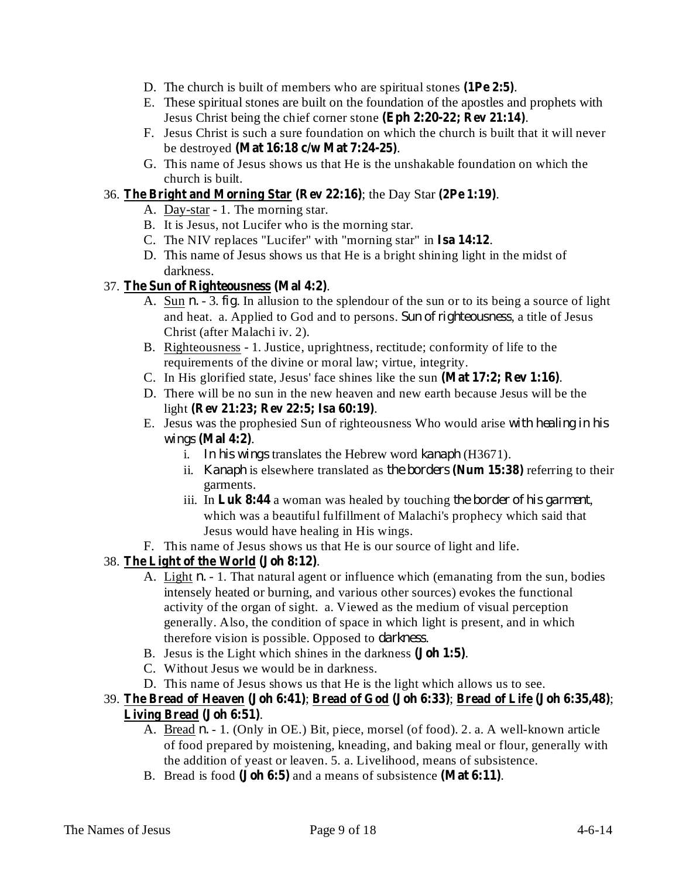- D. The church is built of members who are spiritual stones  $(1Pe 2:5)$ .
- E. These spiritual stones are built on the foundation of the apostles and prophets with **Jesus Christ being the chief corner stone (Eph 2:20-22; Rev 21:14).**
- F. Jesus Christ is such a sure foundation on which the church is built that it will never be destroyed . **(Mat 16:18 c/w Mat 7:24-25)**
- G. This name of Jesus shows us that He is the unshakable foundation on which the church is built.

## 36. The Bright and Morning Star (Rev 22:16); the Day Star (2Pe 1:19).

- A. Day-star 1. The morning star.
- B. It is Jesus, not Lucifer who is the morning star.
- C. The NIV replaces "Lucifer" with "morning star" in Isa 14:12.
- D. This name of Jesus shows us that He is a bright shining light in the midst of darkness.

## 37. . **The Sun of Righteousness (Mal 4:2)**

- A. Sun  $n. -3.$  *fig.* In allusion to the splendour of the sun or to its being a source of light and heat. a. Applied to God and to persons. Sun of righteousness, a title of Jesus Christ (after Malachi iv. 2).
- B. Righteousness 1. Justice, uprightness, rectitude; conformity of life to the requirements of the divine or moral law; virtue, integrity.
- C. In His glorified state, Jesus' face shines like the sun (Mat 17:2; Rev 1:16).
- D. There will be no sun in the new heaven and new earth because Jesus will be the light . **(Rev 21:23; Rev 22:5; Isa 60:19)**
- E. Jesus was the prophesied Sun of righteousness Who would arise *with healing in his* . **(Mal 4:2)** *wings*
	- i. In his wings translates the Hebrew word *kanaph* (H3671).
	- ii. *Kanaph* is elsewhere translated as the borders (Num 15:38) referring to their garments.
	- iii. In Luk 8:44 a woman was healed by touching the border of his garment, which was a beautiful fulfillment of Malachi's prophecy which said that Jesus would have healing in His wings.
- F. This name of Jesus shows us that He is our source of light and life.

## 38. . **The Light of the World (Joh 8:12)**

- A. Light *n.* 1. That natural agent or influence which (emanating from the sun, bodies intensely heated or burning, and various other sources) evokes the functional activity of the organ of sight. a. Viewed as the medium of visual perception generally. Also, the condition of space in which light is present, and in which therefore vision is possible. Opposed to *darkness*.
- B. Jesus is the Light which shines in the darkness (**Joh 1:5**).
- C. Without Jesus we would be in darkness.
- D. This name of Jesus shows us that He is the light which allows us to see.
- 39. ; ; ; **The Bread of Heaven (Joh 6:41) Bread of God (Joh 6:33) Bread of Life (Joh 6:35,48)** . **Living Bread (Joh 6:51)**
	- A. Bread *n.* 1. (Only in OE.) Bit, piece, morsel (of food). 2. a. A well-known article of food prepared by moistening, kneading, and baking meal or flour, generally with the addition of yeast or leaven. 5. a. Livelihood, means of subsistence.
	- B. Bread is food (**Joh 6:5**) and a means of subsistence (Mat 6:11).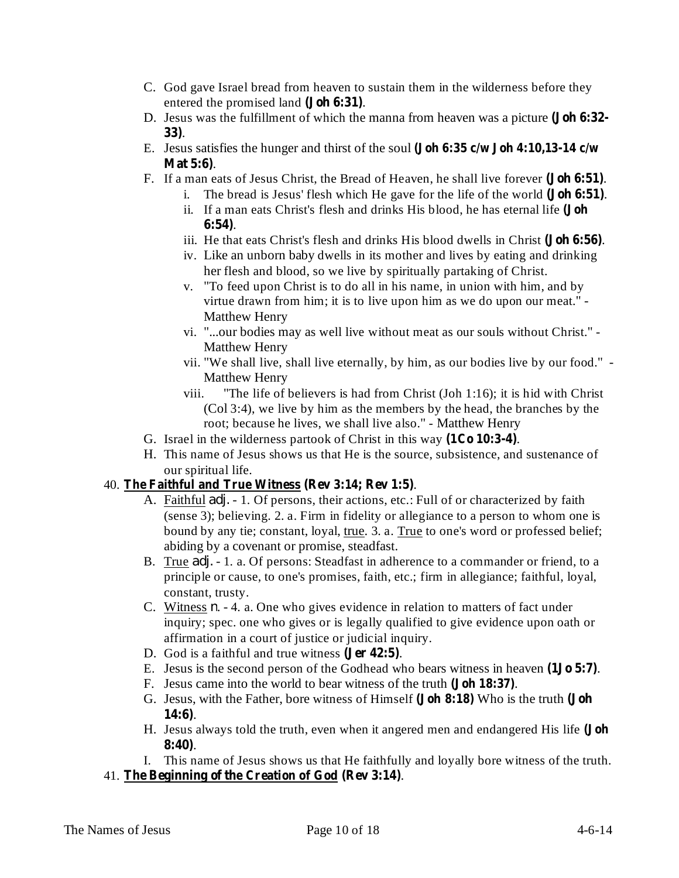- C. God gave Israel bread from heaven to sustain them in the wilderness before they entered the promised land (**Joh 6:31**).
- D. Jesus was the fulfillment of which the manna from heaven was a picture **(Joh 6:32-** . **33)**
- E. Jesus satisfies the hunger and thirst of the soul **(Joh 6:35 c/w Joh 4:10,13-14 c/w** . **Mat 5:6)**
- F. If a man eats of Jesus Christ, the Bread of Heaven, he shall live forever (**Joh 6:51**).
	- i. The bread is Jesus' flesh which He gave for the life of the world (**Joh 6:51**).
	- ii. If a man eats Christ's flesh and drinks His blood, he has eternal life **(Joh** . **6:54)**
	- iii. He that eats Christ's flesh and drinks His blood dwells in Christ (Joh 6:56).
	- iv. Like an unborn baby dwells in its mother and lives by eating and drinking her flesh and blood, so we live by spiritually partaking of Christ.
	- v. "To feed upon Christ is to do all in his name, in union with him, and by virtue drawn from him; it is to live upon him as we do upon our meat." - Matthew Henry
	- vi. "...our bodies may as well live without meat as our souls without Christ." Matthew Henry
	- vii. "We shall live, shall live eternally, by him, as our bodies live by our food." Matthew Henry
	- viii. "The life of believers is had from Christ (Joh 1:16); it is hid with Christ (Col 3:4), we live by him as the members by the head, the branches by the root; because he lives, we shall live also." - Matthew Henry
- G. Israel in the wilderness partook of Christ in this way (1Co 10:3-4).
- H. This name of Jesus shows us that He is the source, subsistence, and sustenance of our spiritual life.

## 40. . **The Faithful and True Witness (Rev 3:14; Rev 1:5)**

- A. Faithful *adj.* 1. Of persons, their actions, etc.: Full of or characterized by faith (sense 3); believing. 2. a. Firm in fidelity or allegiance to a person to whom one is bound by any tie; constant, loyal, true. 3. a. True to one's word or professed belief; abiding by a covenant or promise, steadfast.
- B. True *adj.* 1. a. Of persons: Steadfast in adherence to a commander or friend, to a principle or cause, to one's promises, faith, etc.; firm in allegiance; faithful, loyal, constant, trusty.
- C. Witness  $n. 4$ . a. One who gives evidence in relation to matters of fact under inquiry; spec. one who gives or is legally qualified to give evidence upon oath or affirmation in a court of justice or judicial inquiry.
- D. God is a faithful and true witness (Jer 42:5).
- E. Jesus is the second person of the Godhead who bears witness in heaven (1**Jo** 5:7).
- F. Jesus came into the world to bear witness of the truth (**Joh 18:37**).
- G. Jesus, with the Father, bore witness of Himself (Joh 8:18) Who is the truth (Joh . **14:6)**
- H. Jesus always told the truth, even when it angered men and endangered His life **(Joh** . **8:40)**
- I. This name of Jesus shows us that He faithfully and loyally bore witness of the truth.
- 41. The Beginning of the Creation of God (Rev 3:14).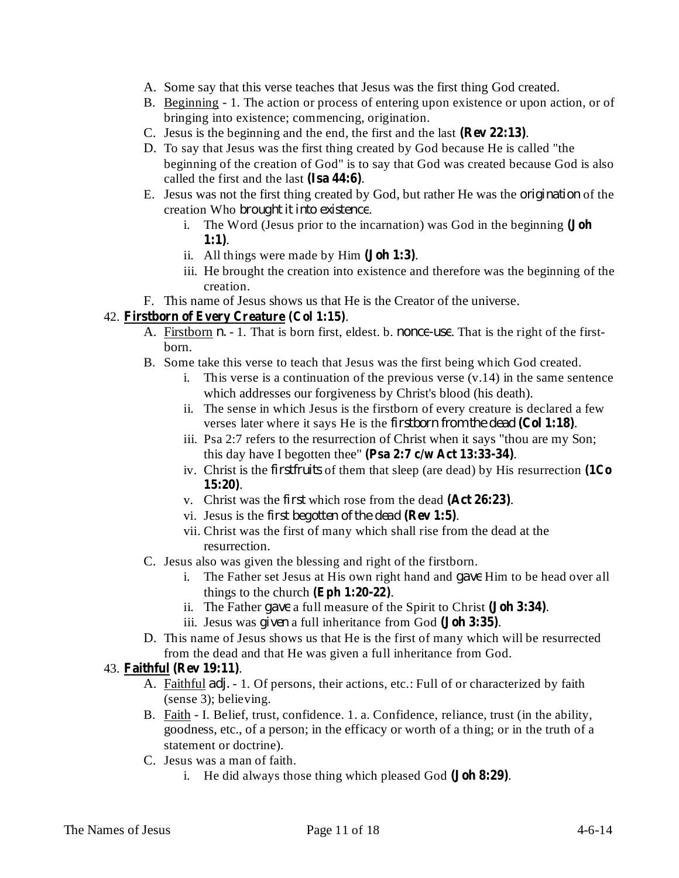- A. Some say that this verse teaches that Jesus was the first thing God created.
- B. Beginning 1. The action or process of entering upon existence or upon action, or of bringing into existence; commencing, origination.
- C. Jesus is the beginning and the end, the first and the last (Rev 22:13).
- D. To say that Jesus was the first thing created by God because He is called "the beginning of the creation of God" is to say that God was created because God is also called the first and the last (Isa 44:6).
- E. Jesus was not the first thing created by God, but rather He was the *origination* of the creation Who *brought it into existence*.
	- i. The Word (Jesus prior to the incarnation) was God in the beginning **(Joh** . **1:1)**
	- ii. All things were made by  $\text{Him}$   $(\text{Joh } 1:3)$ .
	- iii. He brought the creation into existence and therefore was the beginning of the creation.
- F. This name of Jesus shows us that He is the Creator of the universe.

## 42. Firstborn of Every Creature (Col 1:15).

- A. Firstborn *n.* 1. That is born first, eldest. b. *nonce-use*. That is the right of the firstborn.
- B. Some take this verse to teach that Jesus was the first being which God created.
	- i. This verse is a continuation of the previous verse (v.14) in the same sentence which addresses our forgiveness by Christ's blood (his death).
	- ii. The sense in which Jesus is the firstborn of every creature is declared a few verses later where it says He is the *firstborn from the dead* (Col 1:18).
	- iii. Psa 2:7 refers to the resurrection of Christ when it says "thou are my Son; this day have I begotten thee"  $(Psa 2:7 \text{ c/w Act } 13:33-34)$ .
	- iv. Christ is the *firstfruits* of them that sleep (are dead) by His resurrection (1Co . **15:20)**
	- v. Christ was the *first* which rose from the dead (Act 26:23).
	- vi. Jesus is the *first begotten of the dead* (**Rev** 1:5).
	- vii. Christ was the first of many which shall rise from the dead at the resurrection.
- C. Jesus also was given the blessing and right of the firstborn.
	- i. The Father set Jesus at His own right hand and *gave* Him to be head over all things to the church  $(Eph 1:20-22)$ .
	- ii. The Father gave a full measure of the Spirit to Christ (**Joh 3:34**).
	- iii. Jesus was *given* a full inheritance from God (**Joh 3:35**).
- D. This name of Jesus shows us that He is the first of many which will be resurrected from the dead and that He was given a full inheritance from God.

### 43. **Faithful** (Rev 19:11).

- A. Faithful *adj.* 1. Of persons, their actions, etc.: Full of or characterized by faith (sense 3); believing.
- B. Faith I. Belief, trust, confidence. 1. a. Confidence, reliance, trust (in the ability, goodness, etc., of a person; in the efficacy or worth of a thing; or in the truth of a statement or doctrine).
- C. Jesus was a man of faith.
	- i. He did always those thing which pleased God (**Joh 8:29**).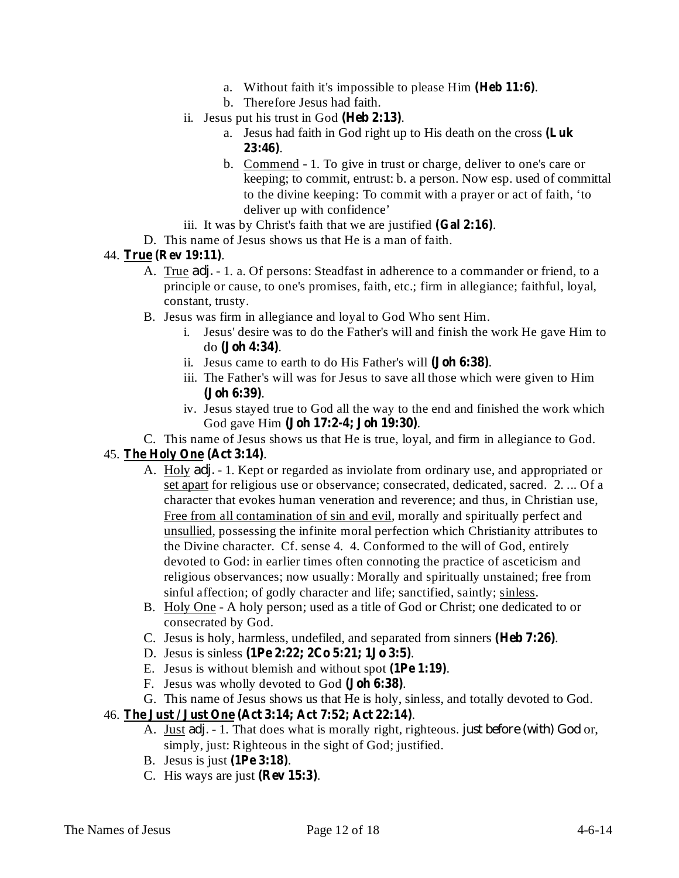- a. Without faith it's impossible to please Him (Heb 11:6).
- b. Therefore Jesus had faith.
- ii. Jesus put his trust in God  $(Heb 2:13)$ .
	- a. Jesus had faith in God right up to His death on the cross **(Luk** . **23:46)**
	- b. Commend 1. To give in trust or charge, deliver to one's care or keeping; to commit, entrust: b. a person. Now esp. used of committal to the divine keeping: To commit with a prayer or act of faith, 'to deliver up with confidence'
- iii. It was by Christ's faith that we are justified  $(Gal 2:16)$ .
- D. This name of Jesus shows us that He is a man of faith.

### 44. True (Rev 19:11).

- A. True *adj.* 1. a. Of persons: Steadfast in adherence to a commander or friend, to a principle or cause, to one's promises, faith, etc.; firm in allegiance; faithful, loyal, constant, trusty.
- B. Jesus was firm in allegiance and loyal to God Who sent Him.
	- i. Jesus' desire was to do the Father's will and finish the work He gave Him to do (**Joh 4:34**).
	- ii. Jesus came to earth to do His Father's will (Joh 6:38).
	- iii. The Father's will was for Jesus to save all those which were given to Him . **(Joh 6:39)**
	- iv. Jesus stayed true to God all the way to the end and finished the work which God gave Him (**Joh 17:2-4; Joh 19:30**).
- C. This name of Jesus shows us that He is true, loyal, and firm in allegiance to God.

## 45. . **The Holy One (Act 3:14)**

- A. Holy *adj.* 1. Kept or regarded as inviolate from ordinary use, and appropriated or set apart for religious use or observance; consecrated, dedicated, sacred. 2. ... Of a character that evokes human veneration and reverence; and thus, in Christian use, Free from all contamination of sin and evil, morally and spiritually perfect and unsullied, possessing the infinite moral perfection which Christianity attributes to the Divine character. Cf. sense 4. 4. Conformed to the will of God, entirely devoted to God: in earlier times often connoting the practice of asceticism and religious observances; now usually: Morally and spiritually unstained; free from sinful affection; of godly character and life; sanctified, saintly; sinless.
- B. Holy One A holy person; used as a title of God or Christ; one dedicated to or consecrated by God.
- C. Jesus is holy, harmless, undefiled, and separated from sinners (Heb 7:26).
- D. Jesus is sinless . **(1Pe 2:22; 2Co 5:21; 1Jo 3:5)**
- E. Jesus is without blemish and without spot (**1Pe 1:19**).
- F. Jesus was wholly devoted to God (Joh 6:38).
- G. This name of Jesus shows us that He is holy, sinless, and totally devoted to God.
- 46. . **The Just / Just One (Act 3:14; Act 7:52; Act 22:14)**
	- A. Just *adj.* 1. That does what is morally right, righteous. *just before (with)* God or, simply, just: Righteous in the sight of God; justified.
	- **B.** Jesus is just (1Pe 3:18).
	- C. His ways are just (Rev 15:3).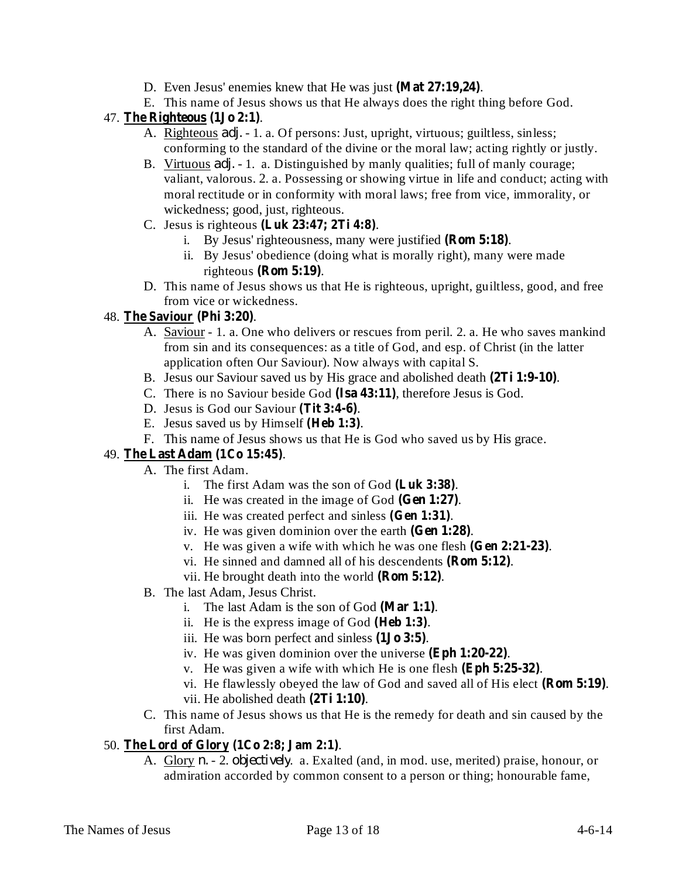- D. Even Jesus' enemies knew that He was just (Mat 27:19,24).
- E. This name of Jesus shows us that He always does the right thing before God.

## 47. . **The Righteous (1Jo 2:1)**

- A. Righteous *adj.* 1. a. Of persons: Just, upright, virtuous; guiltless, sinless; conforming to the standard of the divine or the moral law; acting rightly or justly.
- B. Virtuous *adj.* 1. a. Distinguished by manly qualities; full of manly courage; valiant, valorous. 2. a. Possessing or showing virtue in life and conduct; acting with moral rectitude or in conformity with moral laws; free from vice, immorality, or wickedness; good, just, righteous.
- C. Jesus is righteous . **(Luk 23:47; 2Ti 4:8)**
	- i. By Jesus' righteousness, many were justified (**Rom 5:18**).
	- ii. By Jesus' obedience (doing what is morally right), many were made  $righteous$  (**Rom** 5:19).
- D. This name of Jesus shows us that He is righteous, upright, guiltless, good, and free from vice or wickedness.

## 48. The **Saviour** (Phi 3:20).

- A. Saviour 1. a. One who delivers or rescues from peril. 2. a. He who saves mankind from sin and its consequences: as a title of God, and esp. of Christ (in the latter application often Our Saviour). Now always with capital S.
- B. Jesus our Saviour saved us by His grace and abolished death (2Ti 1:9-10).
- C. There is no Saviour beside God (Isa 43:11), therefore Jesus is God.
- D. Jesus is God our Saviour (Tit 3:4-6).
- E. Jesus saved us by Himself (Heb 1:3).
- F. This name of Jesus shows us that He is God who saved us by His grace.

### 49. . **The Last Adam (1Co 15:45)**

- A. The first Adam.
	- i. The first Adam was the son of God  $(Luk 3:38)$ .
	- ii. He was created in the image of God  $(Gen 1:27)$ .
	- iii. He was created perfect and sinless (Gen 1:31).
	- iv. He was given dominion over the earth (Gen 1:28).
	- v. He was given a wife with which he was one flesh  $(Gen 2:21-23)$ .
	- vi. He sinned and damned all of his descendents (Rom 5:12).
	- vii. He brought death into the world  $(Rom 5:12)$ .
- B. The last Adam, Jesus Christ.
	- i. The last Adam is the son of God  $(Mar 1:1)$ .
	- ii. He is the express image of God  $(Heb 1:3)$ .
	- iii. He was born perfect and sinless  $(1J<sub>0</sub> 3:5)$ .
	- iv. He was given dominion over the universe (Eph 1:20-22).
	- v. He was given a wife with which He is one flesh (Eph 5:25-32).
	- vi. He flawlessly obeyed the law of God and saved all of His elect (Rom 5:19).
	- vii. He abolished death (2Ti 1:10).
- C. This name of Jesus shows us that He is the remedy for death and sin caused by the first Adam.

## 50. The Lord of Glory (1Co 2:8; Jam 2:1).

A. Glory *n.* - 2. *objectively.* a. Exalted (and, in mod. use, merited) praise, honour, or admiration accorded by common consent to a person or thing; honourable fame,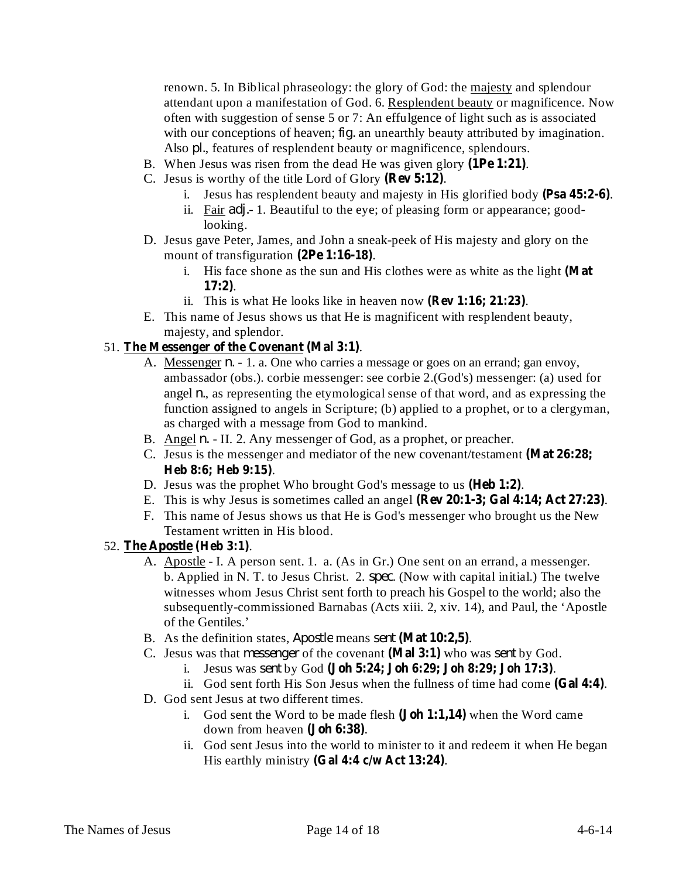renown. 5. In Biblical phraseology: the glory of God: the majesty and splendour attendant upon a manifestation of God. 6. Resplendent beauty or magnificence. Now often with suggestion of sense 5 or 7: An effulgence of light such as is associated with our conceptions of heaven;  $fig$ . an unearthly beauty attributed by imagination. Also *pl.*, features of resplendent beauty or magnificence, splendours.

- B. When Jesus was risen from the dead He was given glory (1Pe 1:21).
- C. Jesus is worthy of the title Lord of Glory (Rev 5:12).
	- i. Jesus has resplendent beauty and majesty in His glorified body (Psa 45:2-6).
	- ii. Fair *adj.* 1. Beautiful to the eye; of pleasing form or appearance; goodlooking.
- D. Jesus gave Peter, James, and John a sneak-peek of His majesty and glory on the mount of transfiguration (2Pe 1:16-18).
	- i. His face shone as the sun and His clothes were as white as the light **(Mat** . **17:2)**
	- ii. This is what He looks like in heaven now (Rev 1:16; 21:23).
- E. This name of Jesus shows us that He is magnificent with resplendent beauty, majesty, and splendor.

### 51. The Messenger of the Covenant (Mal 3:1).

- A. Messenger *n*. 1. a. One who carries a message or goes on an errand; gan envoy, ambassador (obs.). corbie messenger: see corbie 2.(God's) messenger: (a) used for angel  $n$ , as representing the etymological sense of that word, and as expressing the function assigned to angels in Scripture; (b) applied to a prophet, or to a clergyman, as charged with a message from God to mankind.
- B. Angel *n.* II. 2. Any messenger of God, as a prophet, or preacher.
- C. Jesus is the messenger and mediator of the new covenant/testament **(Mat 26:28;** . **Heb 8:6; Heb 9:15)**
- D. Jesus was the prophet Who brought God's message to us (Heb 1:2).
- E. This is why Jesus is sometimes called an angel (Rev 20:1-3; Gal 4:14; Act 27:23).
- F. This name of Jesus shows us that He is God's messenger who brought us the New Testament written in His blood.

### 52. The Apostle (Heb 3:1).

- A. Apostle I. A person sent. 1. a. (As in Gr.) One sent on an errand, a messenger. b. Applied in N. T. to Jesus Christ. 2. *spec*. (Now with capital initial.) The twelve witnesses whom Jesus Christ sent forth to preach his Gospel to the world; also the subsequently-commissioned Barnabas (Acts xiii. 2, xiv. 14), and Paul, the 'Apostle of the Gentiles.'
- B. As the definition states, *Apostle* means sent (Mat 10:2,5).
- C. Jesus was that *messenger* of the covenant (Mal 3:1) who was sent by God.
	- i. Jesus was sent by God (**Joh 5:24;** Joh 6:29; Joh 8:29; Joh 17:3).
	- ii. God sent forth His Son Jesus when the fullness of time had come (Gal 4:4).
- D. God sent Jesus at two different times.
	- i. God sent the Word to be made flesh (**Joh 1:1,14**) when the Word came down from heaven (**Joh 6:38**).
	- ii. God sent Jesus into the world to minister to it and redeem it when He began His earthly ministry (Gal 4:4 c/w Act 13:24).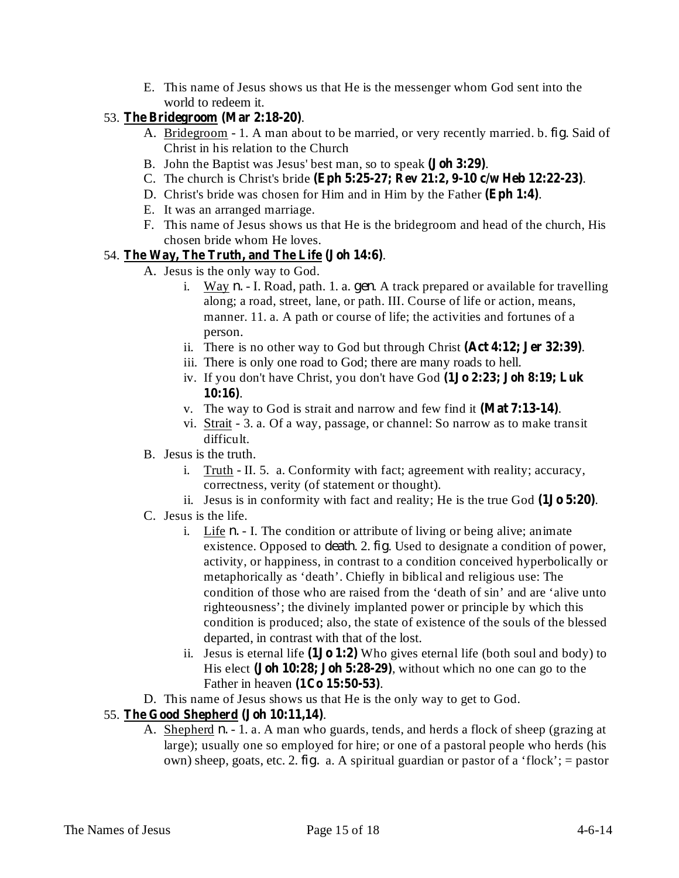E. This name of Jesus shows us that He is the messenger whom God sent into the world to redeem it.

## 53. The Bridegroom (Mar 2:18-20).

- A. Bridegroom 1. A man about to be married, or very recently married. b. *fig*. Said of Christ in his relation to the Church
- B. John the Baptist was Jesus' best man, so to speak (**Joh 3:29**).
- C. The church is Christ's bride . **(Eph 5:25-27; Rev 21:2, 9-10 c/w Heb 12:22-23)**
- D. Christ's bride was chosen for Him and in Him by the Father (Eph 1:4).
- E. It was an arranged marriage.
- F. This name of Jesus shows us that He is the bridegroom and head of the church, His chosen bride whom He loves.

## 54. The Way, The Truth, and The Life (Joh 14:6).

- A. Jesus is the only way to God.
	- i. Way *n.* I. Road, path. 1. a. *gen.* A track prepared or available for travelling along; a road, street, lane, or path. III. Course of life or action, means, manner. 11. a. A path or course of life; the activities and fortunes of a person.
	- ii. There is no other way to God but through Christ (Act 4:12; Jer 32:39).
	- iii. There is only one road to God; there are many roads to hell.
	- iv. If you don't have Christ, you don't have God **(1Jo 2:23; Joh 8:19; Luk** . **10:16)**
	- v. The way to God is strait and narrow and few find it (Mat 7:13-14).
	- vi. Strait 3. a. Of a way, passage, or channel: So narrow as to make transit difficult.
- B. Jesus is the truth.
	- i. Truth II. 5. a. Conformity with fact; agreement with reality; accuracy, correctness, verity (of statement or thought).
	- ii. Jesus is in conformity with fact and reality; He is the true God  $(1J\sigma 5:20)$ .
- C. Jesus is the life.
	- i. Life  $n. I$ . The condition or attribute of living or being alive; animate existence. Opposed to *death.* 2. *fig*. Used to designate a condition of power, activity, or happiness, in contrast to a condition conceived hyperbolically or metaphorically as 'death'. Chiefly in biblical and religious use: The condition of those who are raised from the 'death of sin' and are 'alive unto righteousness'; the divinely implanted power or principle by which this condition is produced; also, the state of existence of the souls of the blessed departed, in contrast with that of the lost.
	- ii. Jesus is eternal life  $(1J_0 1:2)$  Who gives eternal life (both soul and body) to His elect (**Joh 10:28; Joh 5:28-29**), without which no one can go to the Father in heaven (1Co 15:50-53).
- D. This name of Jesus shows us that He is the only way to get to God.

## 55. . **The Good Shepherd (Joh 10:11,14)**

A. Shepherd *n*. - 1. a. A man who guards, tends, and herds a flock of sheep (grazing at large); usually one so employed for hire; or one of a pastoral people who herds (his own) sheep, goats, etc. 2.  $fig.$  a. A spiritual guardian or pastor of a 'flock'; = pastor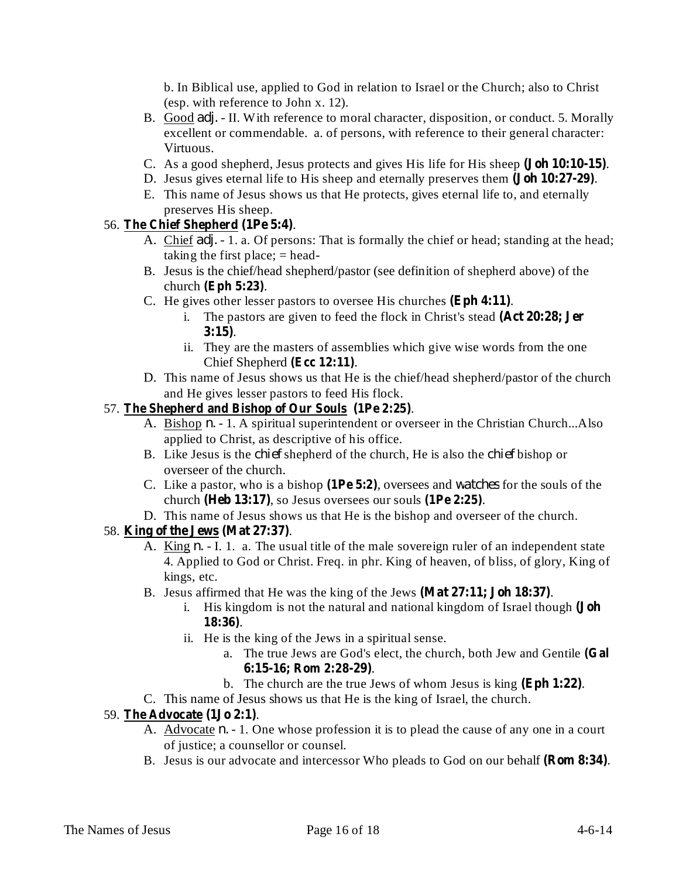b. In Biblical use, applied to God in relation to Israel or the Church; also to Christ (esp. with reference to John x. 12).

- B. Good *adj.* II. With reference to moral character, disposition, or conduct. 5. Morally excellent or commendable. a. of persons, with reference to their general character: Virtuous.
- C. As a good shepherd, Jesus protects and gives His life for His sheep (**Joh 10:10-15**).
- D. Jesus gives eternal life to His sheep and eternally preserves them (**Joh 10:27-29**).
- E. This name of Jesus shows us that He protects, gives eternal life to, and eternally preserves His sheep.

## 56. The Chief Shepherd (1Pe 5:4).

- A. Chief *adj.* 1. a. Of persons: That is formally the chief or head; standing at the head; taking the first place;  $=$  head-
- B. Jesus is the chief/head shepherd/pastor (see definition of shepherd above) of the church (**Eph** 5:23).
- C. He gives other lesser pastors to oversee His churches  $(Eph 4:11)$ .
	- i. The pastors are given to feed the flock in Christ's stead **(Act 20:28; Jer** . **3:15)**
	- ii. They are the masters of assemblies which give wise words from the one Chief Shepherd (Ecc 12:11).
- D. This name of Jesus shows us that He is the chief/head shepherd/pastor of the church and He gives lesser pastors to feed His flock.

### 57. . **The Shepherd and Bishop of Our Souls (1Pe 2:25)**

- A. Bishop *n.* 1. A spiritual superintendent or overseer in the Christian Church...Also applied to Christ, as descriptive of his office.
- B. Like Jesus is the *chief* shepherd of the church, He is also the *chief* bishop or overseer of the church.
- C. Like a pastor, who is a bishop (1Pe 5:2), oversees and *watches* for the souls of the church (Heb 13:17), so Jesus oversees our souls (1Pe 2:25).
- D. This name of Jesus shows us that He is the bishop and overseer of the church.

### 58. **King of the Jews** (Mat 27:37).

- A. King *n.* I. 1. a. The usual title of the male sovereign ruler of an independent state 4. Applied to God or Christ. Freq. in phr. King of heaven, of bliss, of glory, King of kings, etc.
- B. Jesus affirmed that He was the king of the Jews (Mat 27:11; Joh 18:37).
	- i. His kingdom is not the natural and national kingdom of Israel though **(Joh** . **18:36)**
	- ii. He is the king of the Jews in a spiritual sense.
		- a. The true Jews are God's elect, the church, both Jew and Gentile **(Gal** . **6:15-16; Rom 2:28-29)**
		- b. The church are the true Jews of whom Jesus is king  $(Eph 1:22)$ .
- C. This name of Jesus shows us that He is the king of Israel, the church.

#### 59. The Advocate (1Jo 2:1).

- A. Advocate *n*. 1. One whose profession it is to plead the cause of any one in a court of justice; a counsellor or counsel.
- B. Jesus is our advocate and intercessor Who pleads to God on our behalf (Rom 8:34).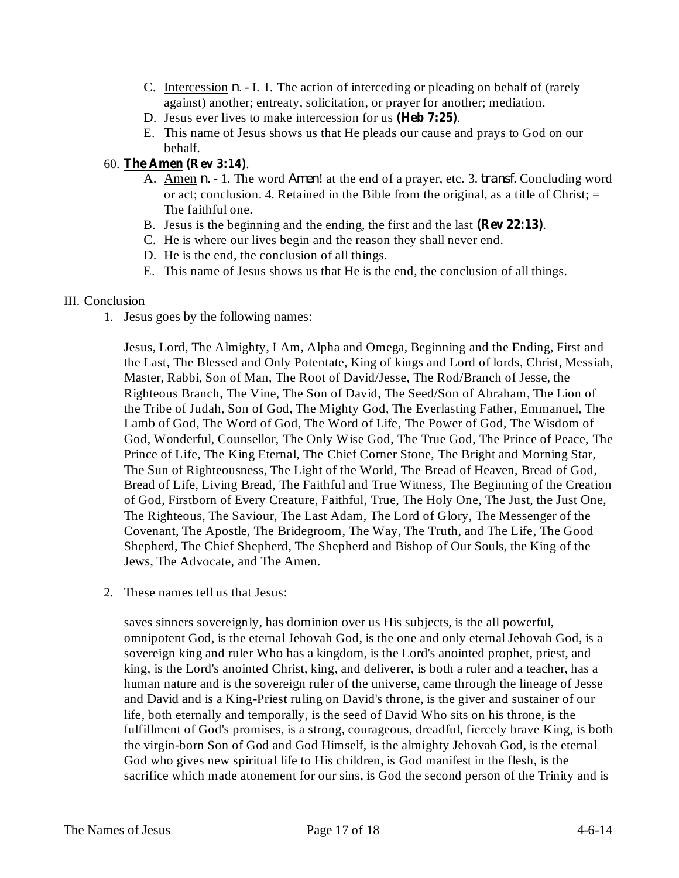- C. Intercession  $n. I.$  1. The action of interceding or pleading on behalf of (rarely against) another; entreaty, solicitation, or prayer for another; mediation.
- D. Jesus ever lives to make intercession for us (Heb 7:25).
- E. This name of Jesus shows us that He pleads our cause and prays to God on our behalf.
- 60. . **The Amen (Rev 3:14)**
	- A. Amen *n.* 1. The word *Amen*! at the end of a prayer, etc. 3. *transf*. Concluding word or act; conclusion. 4. Retained in the Bible from the original, as a title of Christ;  $=$ The faithful one.
	- B. Jesus is the beginning and the ending, the first and the last (Rev 22:13).
	- C. He is where our lives begin and the reason they shall never end.
	- D. He is the end, the conclusion of all things.
	- E. This name of Jesus shows us that He is the end, the conclusion of all things.

#### III. Conclusion

1. Jesus goes by the following names:

Jesus, Lord, The Almighty, I Am, Alpha and Omega, Beginning and the Ending, First and the Last, The Blessed and Only Potentate, King of kings and Lord of lords, Christ, Messiah, Master, Rabbi, Son of Man, The Root of David/Jesse, The Rod/Branch of Jesse, the Righteous Branch, The Vine, The Son of David, The Seed/Son of Abraham, The Lion of the Tribe of Judah, Son of God, The Mighty God, The Everlasting Father, Emmanuel, The Lamb of God, The Word of God, The Word of Life, The Power of God, The Wisdom of God, Wonderful, Counsellor, The Only Wise God, The True God, The Prince of Peace, The Prince of Life, The King Eternal, The Chief Corner Stone, The Bright and Morning Star, The Sun of Righteousness, The Light of the World, The Bread of Heaven, Bread of God, Bread of Life, Living Bread, The Faithful and True Witness, The Beginning of the Creation of God, Firstborn of Every Creature, Faithful, True, The Holy One, The Just, the Just One, The Righteous, The Saviour, The Last Adam, The Lord of Glory, The Messenger of the Covenant, The Apostle, The Bridegroom, The Way, The Truth, and The Life, The Good Shepherd, The Chief Shepherd, The Shepherd and Bishop of Our Souls, the King of the Jews, The Advocate, and The Amen.

2. These names tell us that Jesus:

saves sinners sovereignly, has dominion over us His subjects, is the all powerful, omnipotent God, is the eternal Jehovah God, is the one and only eternal Jehovah God, is a sovereign king and ruler Who has a kingdom, is the Lord's anointed prophet, priest, and king, is the Lord's anointed Christ, king, and deliverer, is both a ruler and a teacher, has a human nature and is the sovereign ruler of the universe, came through the lineage of Jesse and David and is a King-Priest ruling on David's throne, is the giver and sustainer of our life, both eternally and temporally, is the seed of David Who sits on his throne, is the fulfillment of God's promises, is a strong, courageous, dreadful, fiercely brave King, is both the virgin-born Son of God and God Himself, is the almighty Jehovah God, is the eternal God who gives new spiritual life to His children, is God manifest in the flesh, is the sacrifice which made atonement for our sins, is God the second person of the Trinity and is